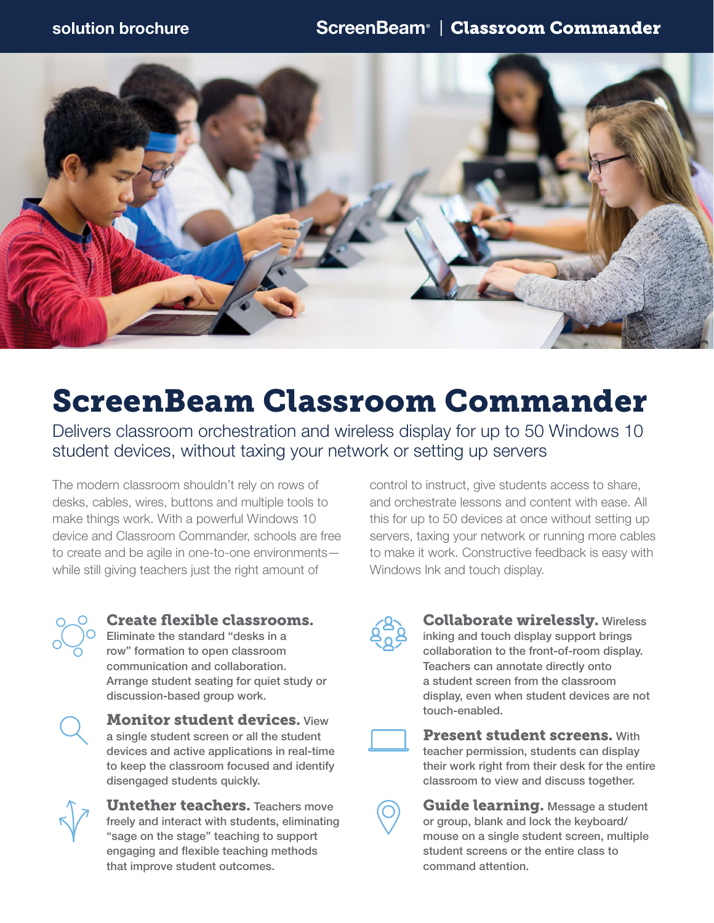

# ScreenBeam Classroom Commander

Delivers classroom orchestration and wireless display for up to 50 Windows 10 student devices, without taxing your network or setting up servers

The modern classroom shouldn't rely on rows of desks, cables, wires, buttons and multiple tools to make things work. With a powerful Windows 10 device and Classroom Commander, schools are free to create and be agile in one-to-one environments while still giving teachers just the right amount of

control to instruct, give students access to share, and orchestrate lessons and content with ease. All this for up to 50 devices at once without setting up servers, taxing your network or running more cables to make it work. Constructive feedback is easy with Windows Ink and touch display.

### Create flexible classrooms. Eliminate the standard "desks in a

row" formation to open classroom communication and collaboration. Arrange student seating for quiet study or discussion-based group work.



**Monitor student devices. View** a single student screen or all the student devices and active applications in real-time to keep the classroom focused and identify disengaged students quickly.



**Untether teachers.** Teachers move freely and interact with students, eliminating "sage on the stage" teaching to support engaging and flexible teaching methods that improve student outcomes.



### Collaborate wirelessly. Wireless inking and touch display support brings collaboration to the front-of-room display. Teachers can annotate directly onto a student screen from the classroom display, even when student devices are not touch-enabled.



Present student screens. With teacher permission, students can display their work right from their desk for the entire classroom to view and discuss together.



Guide learning. Message a student or group, blank and lock the keyboard/ mouse on a single student screen, multiple student screens or the entire class to command attention.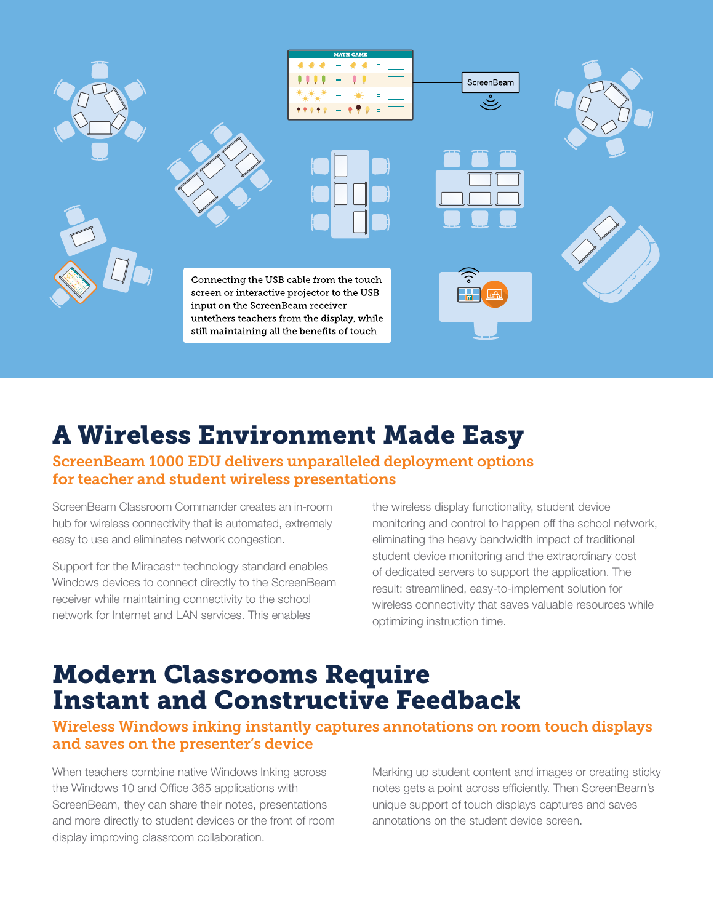

## A Wireless Environment Made Easy

### ScreenBeam 1000 EDU delivers unparalleled deployment options for teacher and student wireless presentations

ScreenBeam Classroom Commander creates an in-room hub for wireless connectivity that is automated, extremely easy to use and eliminates network congestion.

Support for the Miracast™ technology standard enables Windows devices to connect directly to the ScreenBeam receiver while maintaining connectivity to the school network for Internet and LAN services. This enables

the wireless display functionality, student device monitoring and control to happen off the school network, eliminating the heavy bandwidth impact of traditional student device monitoring and the extraordinary cost of dedicated servers to support the application. The result: streamlined, easy-to-implement solution for wireless connectivity that saves valuable resources while optimizing instruction time.

## Modern Classrooms Require Instant and Constructive Feedback

### Wireless Windows inking instantly captures annotations on room touch displays and saves on the presenter's device

When teachers combine native Windows Inking across the Windows 10 and Office 365 applications with ScreenBeam, they can share their notes, presentations and more directly to student devices or the front of room display improving classroom collaboration.

Marking up student content and images or creating sticky notes gets a point across efficiently. Then ScreenBeam's unique support of touch displays captures and saves annotations on the student device screen.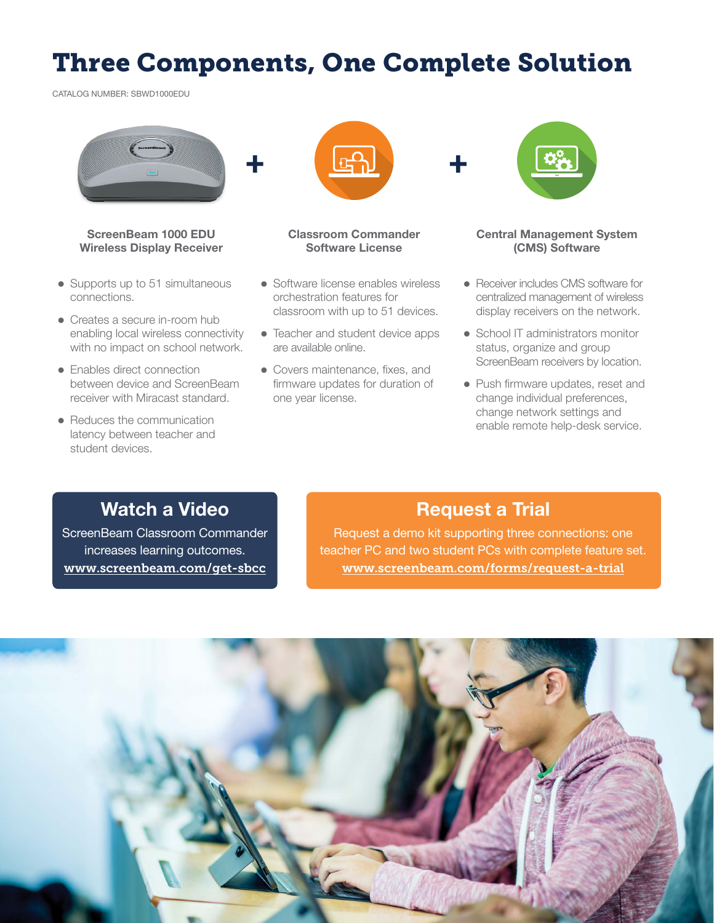## Three Components, One Complete Solution

CATALOG NUMBER: SBWD1000EDU



### ScreenBeam 1000 EDU Wireless Display Receiver

- $\bullet$  Supports up to 51 simultaneous connections.
- Creates a secure in-room hub enabling local wireless connectivity with no impact on school network.
- Enables direct connection between device and ScreenBeam receiver with Miracast standard.
- Reduces the communication latency between teacher and student devices.



### Classroom Commander Software License

- Software license enables wireless orchestration features for classroom with up to 51 devices.
- Teacher and student device apps are available online.
- Covers maintenance, fixes, and firmware updates for duration of one year license.



### Central Management System (CMS) Software

- Receiver includes CMS software for centralized management of wireless display receivers on the network.
- School IT administrators monitor status, organize and group ScreenBeam receivers by location.
- Push firmware updates, reset and change individual preferences, change network settings and enable remote help-desk service.

## Watch a Video

ScreenBeam Classroom Commander increases learning outcomes. www.screenbeam.com/get-sbcc

### Request a Trial

Request a demo kit supporting three connections: one teacher PC and two student PCs with complete feature set. www.screenbeam.com/forms/request-a-trial